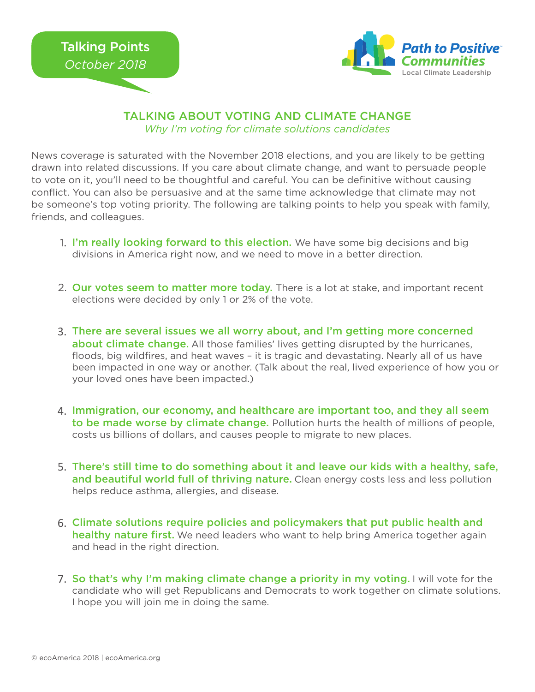

## TALKING ABOUT VOTING AND CLIMATE CHANGE *Why I'm voting for climate solutions candidates*

News coverage is saturated with the November 2018 elections, and you are likely to be getting drawn into related discussions. If you care about climate change, and want to persuade people to vote on it, you'll need to be thoughtful and careful. You can be definitive without causing conflict. You can also be persuasive and at the same time acknowledge that climate may not be someone's top voting priority. The following are talking points to help you speak with family, friends, and colleagues.

- 1. I'm really looking forward to this election. We have some big decisions and big divisions in America right now, and we need to move in a better direction.
- 2. Our votes seem to matter more today. There is a lot at stake, and important recent elections were decided by only 1 or 2% of the vote.
- There are several issues we all worry about, and I'm getting more concerned 3. about climate change. All those families' lives getting disrupted by the hurricanes, floods, big wildfires, and heat waves – it is tragic and devastating. Nearly all of us have been impacted in one way or another. (Talk about the real, lived experience of how you or your loved ones have been impacted.)
- 4. Immigration, our economy, and healthcare are important too, and they all seem to be made worse by climate change. Pollution hurts the health of millions of people, costs us billions of dollars, and causes people to migrate to new places.
- 5. There's still time to do something about it and leave our kids with a healthy, safe, and beautiful world full of thriving nature. Clean energy costs less and less pollution helps reduce asthma, allergies, and disease.
- 6. Climate solutions require policies and policymakers that put public health and healthy nature first. We need leaders who want to help bring America together again and head in the right direction.
- 7. So that's why I'm making climate change a priority in my voting. I will vote for the candidate who will get Republicans and Democrats to work together on climate solutions. I hope you will join me in doing the same.